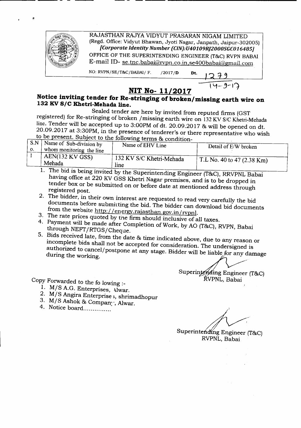

RAJASTHAN RAJYA VIDYUT PRASARAN NIGAM LIMITED (Regd. Office: Vidyut Bhawan, Jyoti Nagar, Janpath, Jaipur-302005j *[Corporate Identity Number (CIN):U40109R]2000SGC016485]* OFFICE OF THE SUPERINTENDING ENGINEER (T&C) RVPN BABAI E-mail ID-se.tnc.babai@rvpn.co.in.se400babai@gmail.com

NO: RVPN/SE/T&C/BABAI/ F.  $/2017/D$ 

- - - --- -------------------

## **NIT No- 11/2017**

## **Notice inviting tender for Re-stringing** of broken/missing **earth wire on 132 KV** *SIC* **Khetri-Mehada line.**

Sealed tender are here by invited from reputed firms (GST registered) for Re-stringing of broken /missing earth wire on 132KV *SIC* Khetri-Mehada line. Tender will be accepted up to 3:00PM of dt. 20.09.2017 & will be opened on dt. 20.09.2017 at 3:30PM, in the presence of tenderer's or there representative who wish

|                     |                                                           | to be present. Subject to the following terms & condition- | where the condition of the representative who wish |
|---------------------|-----------------------------------------------------------|------------------------------------------------------------|----------------------------------------------------|
| S.N<br>$\mathbf{0}$ | Name of Sub-division by<br>$\mu$ whom monitoring the line | Name of EHV Line                                           | Detail of E/W broken                               |
|                     | $+$ AEN(132 KV GSS)<br>Mehada                             | 132 KV S/C Khetri-Mehada<br>line                           | T.L No. 40 to 47 (2.38 Km)                         |

- 1. The bid is being invited by the Superintending Engineer (T&C), RRVPNL Babai having office at 220 KV GSS Khetri Nagar premises, and is to be dropped in tender box or be submitted on or before date at mentioned address through registered post.
- 2. The bidder, in their own interest are requested to read very carefully the bid documents before submitting the bid. The bidder can download bid documents from the website http://energy.rajasthan.gov.in/rvpnl.
- 3. The rate prices quoted by the firm should inclusive of all taxes.
- 4. Payment will be made after Completion of Work, by AO (T&C), RVPN, Babai through NEFf/RTGS/Cheque.
- 5. Bids received late, from the date & time indicated above, due to any reason or incomplete bids shall not be accepted for consideration. The undersigned is authorized to cancel/postpone at any stage. Bidder will be liable for any damage during the working.  $\frac{1}{2}$  and  $\frac{1}{2}$  and  $\frac{1}{2}$  and  $\frac{1}{2}$  and  $\frac{1}{2}$  and  $\frac{1}{2}$  and  $\frac{1}{2}$  and  $\frac{1}{2}$  and  $\frac{1}{2}$  and  $\frac{1}{2}$  and  $\frac{1}{2}$  and  $\frac{1}{2}$  and  $\frac{1}{2}$  and  $\frac{1}{2}$  and  $\frac{1$

Superintending Engineer (T&C)  $RVPNL$ , Babai

Copy Forwarded to the fo lowing :\_

- 1. M/S A.G. Enterprises, Alwar.
- 2. M/S Angira Enterprise s, shrimadhopur
- 3.  $M/S$  Ashok & Compan<sub>1</sub>', Alwar.
- 4. Notice board................

 $\mathscr{J}$ Superintending Engineer (T&C)

RVPNL, Babai